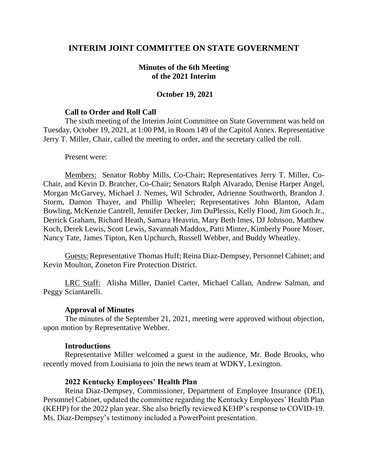# **INTERIM JOINT COMMITTEE ON STATE GOVERNMENT**

### **Minutes of the 6th Meeting of the 2021 Interim**

### **October 19, 2021**

#### **Call to Order and Roll Call**

The sixth meeting of the Interim Joint Committee on State Government was held on Tuesday, October 19, 2021, at 1:00 PM, in Room 149 of the Capitol Annex. Representative Jerry T. Miller, Chair, called the meeting to order, and the secretary called the roll.

#### Present were:

Members: Senator Robby Mills, Co-Chair; Representatives Jerry T. Miller, Co-Chair, and Kevin D. Bratcher, Co-Chair; Senators Ralph Alvarado, Denise Harper Angel, Morgan McGarvey, Michael J. Nemes, Wil Schroder, Adrienne Southworth, Brandon J. Storm, Damon Thayer, and Phillip Wheeler; Representatives John Blanton, Adam Bowling, McKenzie Cantrell, Jennifer Decker, Jim DuPlessis, Kelly Flood, Jim Gooch Jr., Derrick Graham, Richard Heath, Samara Heavrin, Mary Beth Imes, DJ Johnson, Matthew Koch, Derek Lewis, Scott Lewis, Savannah Maddox, Patti Minter, Kimberly Poore Moser, Nancy Tate, James Tipton, Ken Upchurch, Russell Webber, and Buddy Wheatley.

Guests: Representative Thomas Huff; Reina Diaz-Dempsey, Personnel Cabinet; and Kevin Moulton, Zoneton Fire Protection District.

LRC Staff: Alisha Miller, Daniel Carter, Michael Callan, Andrew Salman, and Peggy Sciantarelli.

#### **Approval of Minutes**

The minutes of the September 21, 2021, meeting were approved without objection, upon motion by Representative Webber.

#### **Introductions**

Representative Miller welcomed a guest in the audience, Mr. Bode Brooks, who recently moved from Louisiana to join the news team at WDKY, Lexington.

#### **2022 Kentucky Employees' Health Plan**

Reina Diaz-Dempsey, Commissioner, Department of Employee Insurance (DEI), Personnel Cabinet, updated the committee regarding the Kentucky Employees' Health Plan (KEHP) for the 2022 plan year. She also briefly reviewed KEHP's response to COVID-19. Ms. Diaz-Dempsey's testimony included a PowerPoint presentation.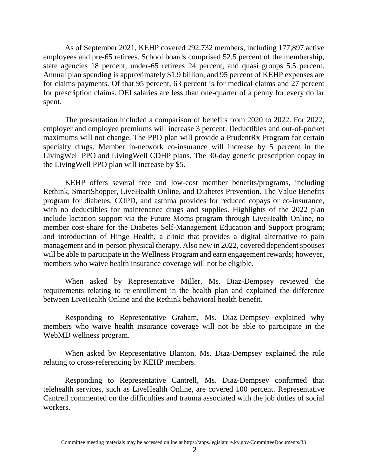As of September 2021, KEHP covered 292,732 members, including 177,897 active employees and pre-65 retirees. School boards comprised 52.5 percent of the membership, state agencies 18 percent, under-65 retirees 24 percent, and quasi groups 5.5 percent. Annual plan spending is approximately \$1.9 billion, and 95 percent of KEHP expenses are for claims payments. Of that 95 percent, 63 percent is for medical claims and 27 percent for prescription claims. DEI salaries are less than one-quarter of a penny for every dollar spent.

The presentation included a comparison of benefits from 2020 to 2022. For 2022, employer and employee premiums will increase 3 percent. Deductibles and out-of-pocket maximums will not change. The PPO plan will provide a PrudentRx Program for certain specialty drugs. Member in-network co-insurance will increase by 5 percent in the LivingWell PPO and LivingWell CDHP plans. The 30-day generic prescription copay in the LivingWell PPO plan will increase by \$5.

KEHP offers several free and low-cost member benefits/programs, including Rethink, SmartShopper, LiveHealth Online, and Diabetes Prevention. The Value Benefits program for diabetes, COPD, and asthma provides for reduced copays or co-insurance, with no deductibles for maintenance drugs and supplies. Highlights of the 2022 plan include lactation support via the Future Moms program through LiveHealth Online, no member cost-share for the Diabetes Self-Management Education and Support program; and introduction of Hinge Health, a clinic that provides a digital alternative to pain management and in-person physical therapy. Also new in 2022, covered dependent spouses will be able to participate in the Wellness Program and earn engagement rewards; however, members who waive health insurance coverage will not be eligible.

When asked by Representative Miller, Ms. Diaz-Dempsey reviewed the requirements relating to re-enrollment in the health plan and explained the difference between LiveHealth Online and the Rethink behavioral health benefit.

Responding to Representative Graham, Ms. Diaz-Dempsey explained why members who waive health insurance coverage will not be able to participate in the WebMD wellness program.

When asked by Representative Blanton, Ms. Diaz-Dempsey explained the rule relating to cross-referencing by KEHP members.

Responding to Representative Cantrell, Ms. Diaz-Dempsey confirmed that telehealth services, such as LiveHealth Online, are covered 100 percent. Representative Cantrell commented on the difficulties and trauma associated with the job duties of social workers.

Committee meeting materials may be accessed online at https://apps.legislature.ky.gov/CommitteeDocuments/33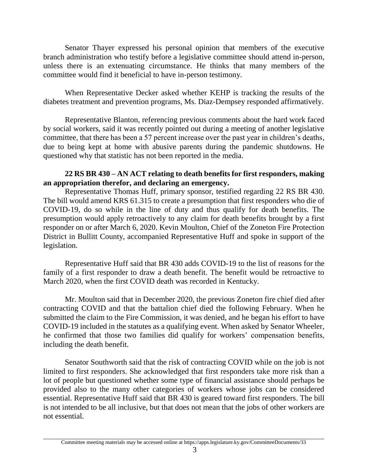Senator Thayer expressed his personal opinion that members of the executive branch administration who testify before a legislative committee should attend in-person, unless there is an extenuating circumstance. He thinks that many members of the committee would find it beneficial to have in-person testimony.

When Representative Decker asked whether KEHP is tracking the results of the diabetes treatment and prevention programs, Ms. Diaz-Dempsey responded affirmatively.

Representative Blanton, referencing previous comments about the hard work faced by social workers, said it was recently pointed out during a meeting of another legislative committee, that there has been a 57 percent increase over the past year in children's deaths, due to being kept at home with abusive parents during the pandemic shutdowns. He questioned why that statistic has not been reported in the media.

# **22 RS BR 430 – AN ACT relating to death benefits for first responders, making an appropriation therefor, and declaring an emergency.**

Representative Thomas Huff, primary sponsor, testified regarding 22 RS BR 430. The bill would amend KRS 61.315 to create a presumption that first responders who die of COVID-19, do so while in the line of duty and thus qualify for death benefits. The presumption would apply retroactively to any claim for death benefits brought by a first responder on or after March 6, 2020. Kevin Moulton, Chief of the Zoneton Fire Protection District in Bullitt County, accompanied Representative Huff and spoke in support of the legislation.

Representative Huff said that BR 430 adds COVID-19 to the list of reasons for the family of a first responder to draw a death benefit. The benefit would be retroactive to March 2020, when the first COVID death was recorded in Kentucky.

Mr. Moulton said that in December 2020, the previous Zoneton fire chief died after contracting COVID and that the battalion chief died the following February. When he submitted the claim to the Fire Commission, it was denied, and he began his effort to have COVID-19 included in the statutes as a qualifying event. When asked by Senator Wheeler, he confirmed that those two families did qualify for workers' compensation benefits, including the death benefit.

Senator Southworth said that the risk of contracting COVID while on the job is not limited to first responders. She acknowledged that first responders take more risk than a lot of people but questioned whether some type of financial assistance should perhaps be provided also to the many other categories of workers whose jobs can be considered essential. Representative Huff said that BR 430 is geared toward first responders. The bill is not intended to be all inclusive, but that does not mean that the jobs of other workers are not essential.

Committee meeting materials may be accessed online at https://apps.legislature.ky.gov/CommitteeDocuments/33